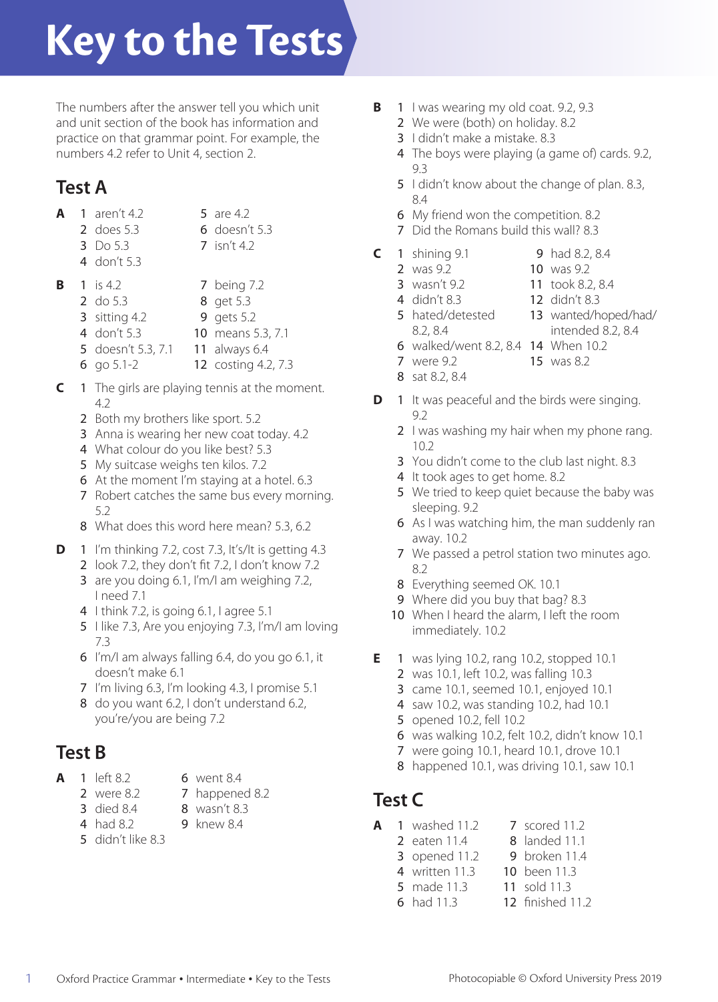# **Key to the Tests**

The numbers after the answer tell you which unit and unit section of the book has information and practice on that grammar point. For example, the numbers 4.2 refer to Unit 4, section 2.

# **Test A**

- **A** 1 aren't 4.2 5 are 4.2 2 does 5.3 6 doesn't 5.3
	- 3 Do 5.3 7 isn't 4.2
	-
- 
- 4 don't 5.3
- **B** 1 is 4.2 7 being 7.2 2 do 5.3 8 get 5.3 **3** sitting 4.2 **9** gets 5.2
	- 4 don't 5.3 10 means 5.3, 7.1
	- 5 doesn't 5.3, 7.1 11 always 6.4
	- 6 go 5.1-2 12 costing 4.2, 7.3
- **C** 1 The girls are playing tennis at the moment. 4.2
	- 2 Both my brothers like sport. 5.2
	- 3 Anna is wearing her new coat today. 4.2
	- 4 What colour do you like best? 5.3
	- 5 My suitcase weighs ten kilos. 7.2
	- 6 At the moment I'm staying at a hotel. 6.3
	- 7 Robert catches the same bus every morning. 5.2
	- 8 What does this word here mean? 5.3, 6.2
- **D** 1 I'm thinking 7.2, cost 7.3, It's/It is getting 4.3
	- 2 look 7.2, they don't fit 7.2, I don't know 7.2
	- 3 are you doing 6.1, I'm/I am weighing 7.2, I need 7.1
	- 4 I think 7.2, is going 6.1, I agree 5.1
	- 5 I like 7.3, Are you enjoying 7.3, I'm/I am loving 7.3
	- 6 I'm/I am always falling 6.4, do you go 6.1, it doesn't make 6.1
	- 7 I'm living 6.3, I'm looking 4.3, I promise 5.1
	- 8 do you want 6.2, I don't understand 6.2, you're/you are being 7.2

# **Test B**

- **1** left 8.2 **6** went 8.4
	- 2 were 8.2 **7** happened 8.2
	-
	- **3** died 8.4 **8** wasn't 8.3
	- 4 had 8.2 9 knew 8.4
	- 5 didn't like 8.3
- **B** 1 I was wearing my old coat. 9.2, 9.3
	- 2 We were (both) on holiday, 8.2
	- 3 I didn't make a mistake. 8.3
	- 4 The boys were playing (a game of) cards. 9.2, 9.3
	- 5 I didn't know about the change of plan. 8.3, 8.4
	- 6 My friend won the competition. 8.2
	- 7 Did the Romans build this wall? 8.3
- **C** 1 shining 9.1 9 had 8.2, 8.4
	-
	- **2** was 9.2 **10** was 9.2<br>**3** wasn't 9.2 **11** took 8.2
		-
	- **3** wasn't 9.2 **11** took 8.2, 8.4<br>**4** didn't 8.3 **12** didn't 8.3 12 didn't 8.3
	- 5 hated/detested 13 wanted/hoped/had/ 8.2, 8.4 intended 8.2, 8.4
		-
	- 6 walked/went 8.2, 8.4 14 When 10.2
	- 7 were 9.2 15 was 8.2
	- 8 sat 8.2, 8.4
- **D** 1 It was peaceful and the birds were singing. 9.2
	- 2 I was washing my hair when my phone rang. 10.2
	- 3 You didn't come to the club last night. 8.3
	- 4 It took ages to get home. 8.2
	- 5 We tried to keep quiet because the baby was sleeping. 9.2
	- 6 As I was watching him, the man suddenly ran away. 10.2
	- 7 We passed a petrol station two minutes ago. 8.2
	- 8 Everything seemed OK. 10.1
	- 9 Where did you buy that bag? 8.3
	- 10 When I heard the alarm, I left the room immediately. 10.2
- **E** 1 was lying 10.2, rang 10.2, stopped 10.1
	- 2 was 10.1, left 10.2, was falling 10.3
	- 3 came 10.1, seemed 10.1, enjoyed 10.1
	- 4 saw 10.2, was standing 10.2, had 10.1
	- 5 opened 10.2, fell 10.2
	- 6 was walking 10.2, felt 10.2, didn't know 10.1
	- 7 were going 10.1, heard 10.1, drove 10.1
	- 8 happened 10.1, was driving 10.1, saw 10.1

# **Test C**

- **A** 1 washed 11.2 7 scored 11.2
	- 2 eaten 11.4 8 landed 11.1
	- 3 opened 11.2 9 broken 11.4
	- **4** written 11.3 **10** been 11.3<br>**5** made 11.3 **11** sold 11.3 **5** made 11.3
		-
	- 6 had 11.3 12 finished 11.2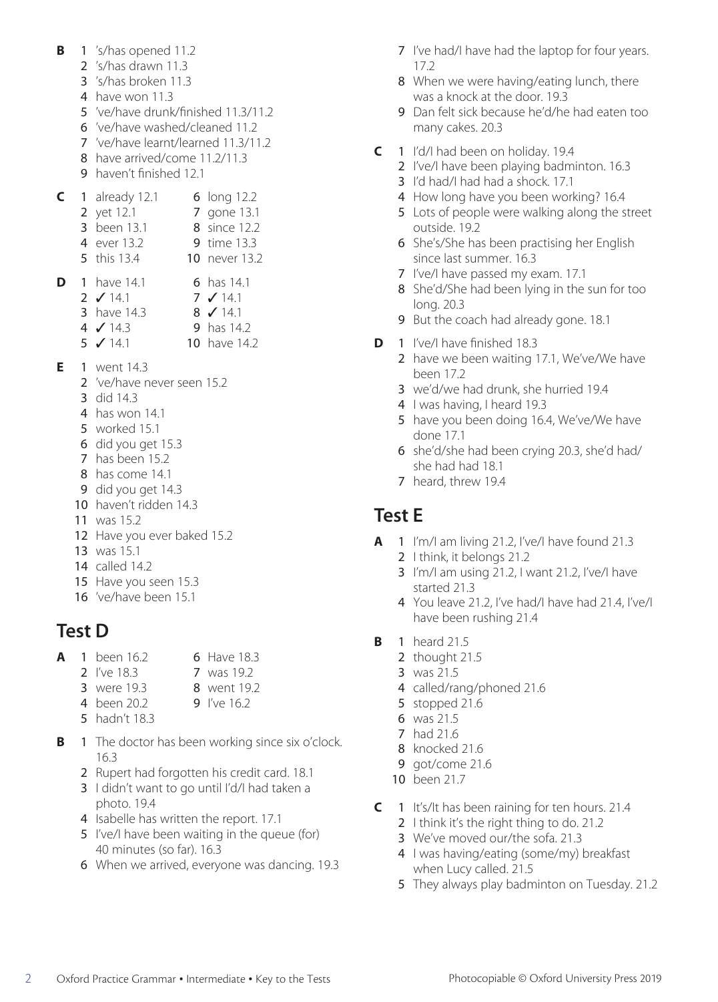- **B** 1 's/has opened 11.2
	- 2 's/has drawn 11.3
	- 3 's/has broken 11.3
	- 4 have won 11.3
	- 5 've/have drunk/finished 11.3/11.2
	- 6 've/have washed/cleaned 11.2
	- 7 've/have learnt/learned 11.3/11.2
	- 8 have arrived/come 11.2/11.3
	- 9 haven't finished 12.1

|  | 1 already 12.1       | 6 long 12.2        |
|--|----------------------|--------------------|
|  | 2 yet 12.1           | 7 gone 13.1        |
|  | 3 been 13.1          | 8 since 12.2       |
|  | 4 ever 13.2          | <b>9</b> time 13.3 |
|  | 5 this 13.4          | 10 never 13.2      |
|  | <b>D</b> 1 have 14.1 | 6 has $14.1$       |
|  | 2 $\sqrt{14.1}$      | $7 \times 14.1$    |

- 3 have 14.3 8 **√** 14.1 4 ✓ 14.3 9 has 14.2 **5** ✔ 14.1 **10** have 14.2
- **E** 1 went 14.3
	- 2 've/have never seen 15.2
	- 3 did 14.3
	- 4 has won 14.1
	- 5 worked 15.1
	- 6 did you get 15.3
	- 7 has been 15.2
	- 8 has come 14.1
	- 9 did you get 14.3
	- 10 haven't ridden 14.3
	- 11 was 15.2
	- 12 Have you ever baked 15.2
	- 13 was 15.1
	- 14 called 14.2
	- 15 Have you seen 15.3
	- 16 've/have been 15.1

# **Test D**

- **A** 1 been 16.2 6 Have 18.3
	- 2 I've 18.3 7 was 19.2
	- **3** were 19.3 **8** went 19.2
	- 4 been 20.2 9 I've 16.2
	- 5 hadn't 18.3
- **B** 1 The doctor has been working since six o'clock. 16.3
	- 2 Rupert had forgotten his credit card. 18.1
	- 3 I didn't want to go until I'd/I had taken a photo. 19.4
	- 4 Isabelle has written the report. 17.1
	- 5 I've/I have been waiting in the queue (for) 40 minutes (so far). 16.3
	- 6 When we arrived, everyone was dancing. 19.3
- 7 I've had/I have had the laptop for four years. 17.2
- 8 When we were having/eating lunch, there was a knock at the door. 19.3
- 9 Dan felt sick because he'd/he had eaten too many cakes. 20.3
- **C** 1 I'd/I had been on holiday. 19.4
	- 2 I've/I have been playing badminton. 16.3
	- 3 I'd had/I had had a shock. 17.1
	- 4 How long have you been working? 16.4
	- 5 Lots of people were walking along the street outside. 19.2
	- 6 She's/She has been practising her English since last summer. 16.3
	- 7 I've/I have passed my exam. 17.1
	- 8 She'd/She had been lying in the sun for too long. 20.3
	- 9 But the coach had already gone. 18.1
- **D** 1 I've/I have finished 18.3
	- 2 have we been waiting 17.1, We've/We have been 17.2
	- 3 we'd/we had drunk, she hurried 19.4
	- 4 I was having, I heard 19.3
	- 5 have you been doing 16.4, We've/We have done 17.1
	- 6 she'd/she had been crying 20.3, she'd had/ she had had 18.1
	- 7 heard, threw 19.4

## **Test E**

- **A** 1 I'm/I am living 21.2, I've/I have found 21.3
	- 2 I think, it belongs 21.2
		- 3 I'm/I am using 21.2, I want 21.2, I've/I have started 21.3
		- 4 You leave 21.2, I've had/I have had 21.4, I've/I have been rushing 21.4
- **B** 1 heard 21.5
	- 2 thought 21.5
	- 3 was 21.5
	- 4 called/rang/phoned 21.6
	- 5 stopped 21.6
	- 6 was 21.5
	- 7 had 21.6
	- 8 knocked 21.6
	- 9 got/come 21.6
	- 10 been 21.7
- **C** 1 It's/It has been raining for ten hours. 21.4
	- 2 I think it's the right thing to do. 21.2
	- 3 We've moved our/the sofa. 21.3
	- 4 I was having/eating (some/my) breakfast when Lucy called. 21.5
	- 5 They always play badminton on Tuesday. 21.2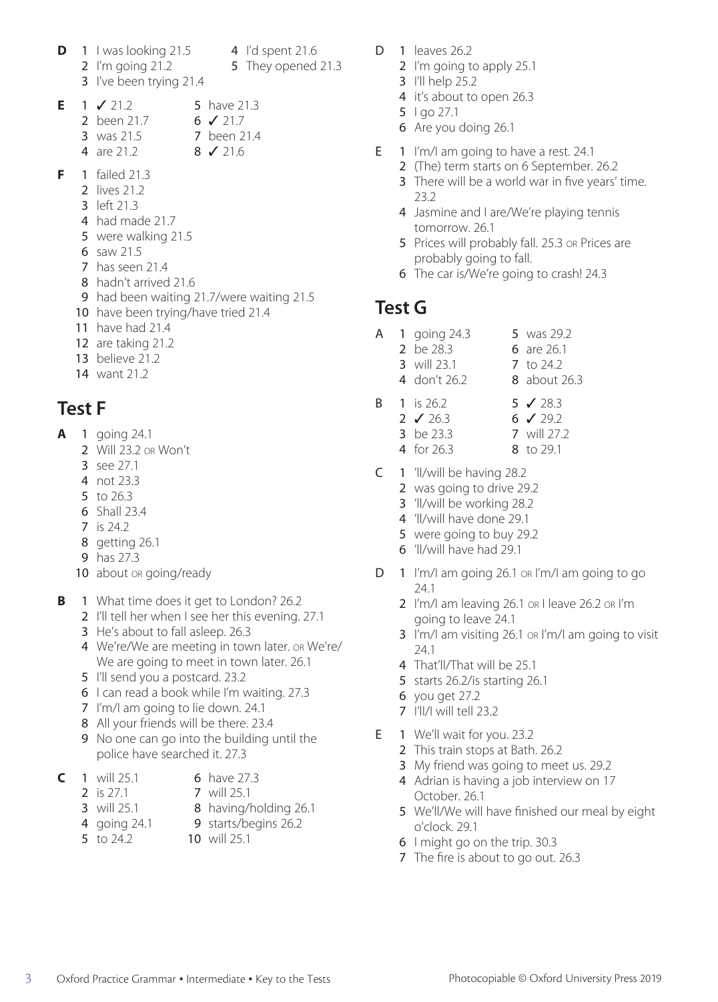- **D** 1 I was looking  $21.5$  4 I'd spent  $21.6$ 2 I'm going 21.2 5 They opened 21.3
	-
	- 3 I've been trying 21.4
- **E** 1 ✓ 21.2 5 have 21.3 2 been 21.7 6 **√** 21.7 **3** was 21.5 **7** been 21.4 4 are 21.2 8 **√** 21.6
- **F** 1 failed 21.3
	- 2 lives 21.2
	- 3 left 21.3
	- 4 had made 21.7
	- 5 were walking 21.5
	- 6 saw 21.5
	- 7 has seen 21.4
	- 8 hadn't arrived 21.6
	- 9 had been waiting 21.7/were waiting 21.5
	- 10 have been trying/have tried 21.4
	- 11 have had 21.4
	- 12 are taking 21.2
	- 13 believe 21.2
	- 14 want 21.2

## **Test F**

- **A** 1 going 24.1
	- 2 Will 23.2 or Won't
	- 3 see 27.1
	- 4 not 23.3
	- 5 to 26.3
	- 6 Shall 23.4
	- 7 is 24.2
	- 8 getting 26.1
	- 9 has 27.3
	- 10 about or going/ready
- **B** 1 What time does it get to London? 26.2
	- 2 I'll tell her when I see her this evening. 27.1
	- 3 He's about to fall asleep. 26.3
	- 4 We're/We are meeting in town later. or We're/ We are going to meet in town later. 26.1
	- 5 I'll send you a postcard. 23.2
	- 6 I can read a book while I'm waiting. 27.3
	- 7 I'm/I am going to lie down. 24.1
	- 8 All your friends will be there. 23.4
	- 9 No one can go into the building until the police have searched it. 27.3
- **C** 1 will 25.1 6 have 27.3
	-
	- 2 is 27.1 7 will 25.1
	- **3** will 25.1 **8** having/holding 26.1
	- 4 going 24.1 9 starts/begins 26.2
	- 5 to 24.2 10 will 25.1
- D  $1$  leaves  $26.2$ 
	- 2 I'm going to apply 25.1
	- 3 I'll help 25.2
	- 4 it's about to open 26.3
	- 5 I go 27.1
	- 6 Are you doing 26.1
- E 1 I'm/I am going to have a rest. 24.1
	- 2 (The) term starts on 6 September. 26.2
	- 3 There will be a world war in five years' time. 23.2
	- 4 Jasmine and I are/We're playing tennis tomorrow. 26.1
	- 5 Prices will probably fall. 25.3 or Prices are probably going to fall.
	- 6 The car is/We're going to crash! 24.3

#### **Test G**

- A 1 going 24.3 5 was 29.2
	- 2 be 28.3 6 are 26.1
	- 3 will 23.1 <br> **7** to 24.2 4 don't 26.2 8 about 26.3
- B 1 is 26.2 5 √ 28.3 2  $\sqrt{26.3}$  6  $\sqrt{29.2}$ 3 be 23.3 7 will 27.2 4 for 26.3 8 to 29.1
- C 1 'll/will be having 28.2
	- 2 was going to drive 29.2
	- 3 'll/will be working 28.2
	- 4 'll/will have done 29.1
	- 5 were going to buy 29.2
	- 6 'll/will have had 29.1
- D 1 I'm/I am going 26.1 or I'm/I am going to go 24.1
	- 2 I'm/I am leaving 26.1 or I leave 26.2 or I'm going to leave 24.1
	- 3 I'm/I am visiting 26.1 or I'm/I am going to visit 24.1
	- 4 That'll/That will be 25.1
	- 5 starts 26.2/is starting 26.1
	- 6 you get 27.2
	- 7 I'll/I will tell 23.2
- E 1 We'll wait for you. 23.2
	- 2 This train stops at Bath. 26.2
	- 3 My friend was going to meet us. 29.2
	- 4 Adrian is having a job interview on 17 October. 26.1
	- 5 We'll/We will have finished our meal by eight o'clock. 29.1
	- 6 I might go on the trip. 30.3
	- 7 The fire is about to go out. 26.3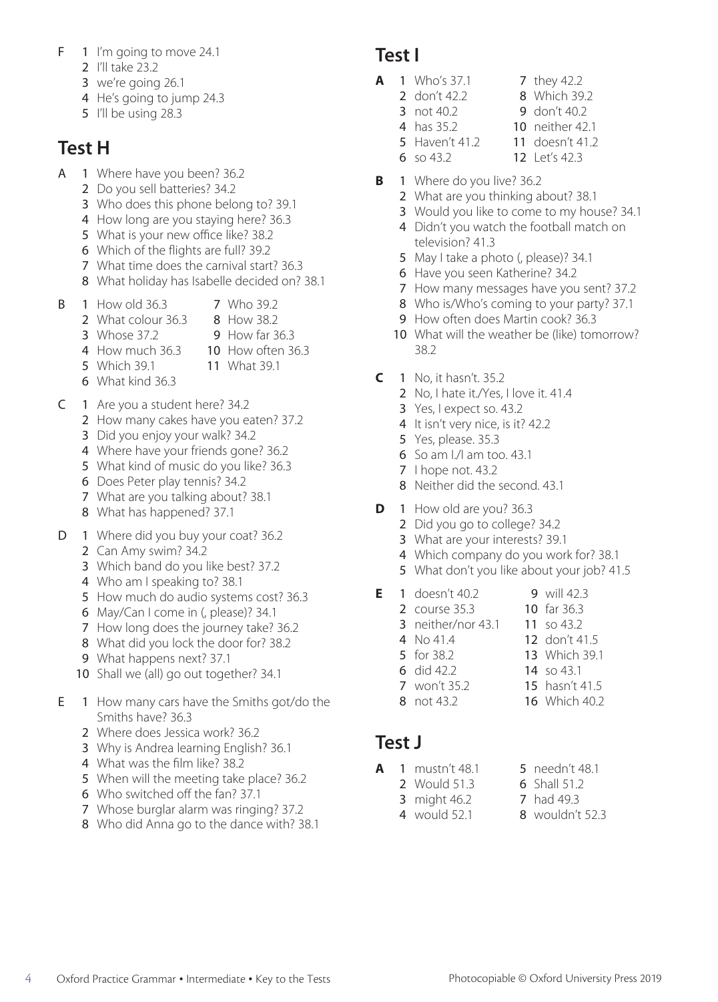- F 1 I'm going to move 24.1
	- 2 I'll take 23.2
	- 3 we're going 26.1
	- 4 He's going to jump 24.3
	- 5 I'll be using 28.3

## **Test H**

- A 1 Where have you been? 36.2
	- 2 Do you sell batteries? 34.2
	- 3 Who does this phone belong to? 39.1
	- 4 How long are you staying here? 36.3
	- 5 What is your new office like? 38.2
	- 6 Which of the flights are full? 39.2
	- 7 What time does the carnival start? 36.3
	- 8 What holiday has Isabelle decided on? 38.1
- **B** 1 How old 36.3 **7** Who 39.2
	- 2 What colour 36.3 8 How 38.2
	- **3** Whose 37.2 **9** How far 36.3
		-
	- 4 How much 36.3 10 How often 36.3 5 Which 39.1 **11** What 39.1
	- 6 What kind 36.3
- C 1 Are you a student here? 34.2
	- 2 How many cakes have you eaten? 37.2
	- 3 Did you enjoy your walk? 34.2
	- 4 Where have your friends gone? 36.2
	- 5 What kind of music do you like? 36.3
	- 6 Does Peter play tennis? 34.2
	- 7 What are you talking about? 38.1
	- 8 What has happened? 37.1
- D 1 Where did you buy your coat? 36.2
	- 2 Can Amy swim? 34.2
	- 3 Which band do you like best? 37.2
	- 4 Who am I speaking to? 38.1
	- 5 How much do audio systems cost? 36.3
	- 6 May/Can I come in (, please)? 34.1
	- 7 How long does the journey take? 36.2
	- 8 What did you lock the door for? 38.2
	- 9 What happens next? 37.1
	- 10 Shall we (all) go out together? 34.1
- E 1 How many cars have the Smiths got/do the Smiths have? 36.3
	- 2 Where does Jessica work? 36.2
	- 3 Why is Andrea learning English? 36.1
	- 4 What was the film like? 38.2
	- 5 When will the meeting take place? 36.2
	- 6 Who switched off the fan? 37.1
	- 7 Whose burglar alarm was ringing? 37.2
	- 8 Who did Anna go to the dance with? 38.1

#### **Test I**

- **A** 1 Who's 37.1 7 they 42.2
	- 2 don't 42.2 8 Which 39.2
	- 3 not 40.2 9 don't 40.2
	-
	- **4** has 35.2 **10** neither 42.1<br>**5** Haven't 41.2 **11** doesn't 41.2
	- **5** Haven't 41.2 **11** doesn't 41.2<br>**6** so 43.2 **12** Let's 42.3 12 Let's 42.3
- **B** 1 Where do you live? 36.2
	- 2 What are you thinking about? 38.1
	- 3 Would you like to come to my house? 34.1
	- 4 Didn't you watch the football match on television? 41.3
	- 5 May I take a photo (, please)? 34.1
	- 6 Have you seen Katherine? 34.2
	- 7 How many messages have you sent? 37.2
	- 8 Who is/Who's coming to your party? 37.1
	- 9 How often does Martin cook? 36.3
	- 10 What will the weather be (like) tomorrow? 38.2
- **C** 1 No, it hasn't. 35.2
	- 2 No, I hate it./Yes, I love it. 41.4
	- 3 Yes, I expect so. 43.2
	- 4 It isn't very nice, is it? 42.2
	- 5 Yes, please. 35.3
	- 6 So am I./I am too. 43.1
	- 7 I hope not. 43.2
	- 8 Neither did the second. 43.1
- **D** 1 How old are you? 36.3
	- 2 Did you go to college? 34.2
	- 3 What are your interests? 39.1
	- 4 Which company do you work for? 38.1
	- 5 What don't you like about your job? 41.5
- **E** 1 doesn't 40.2 9 will 42.3
	- 2 course 35.3 10 far 36.3
	- 3 neither/nor 43.1 11 so 43.2<br>4 No 41.4 12 don't 4
	- 4 No 41.4 12 don't 41.5<br>5 for 38.2 13 Which 39.
		- 13 Which 39.1
	- **6** did 42.2 **14** so 43.1<br>**7** won't 35.2 **15** hasn't 41.5
	- 7 won't 35.2 8 not 43.2 16 Which 40.2
		-

#### **Test J**

- **A** 1 mustn't 48.1 5 needn't 48.1<br>2 Would 51.3 6 Shall 51.2
	-
	- **2** Would 51.3 **3** might 46.2 **7** had 49.3
		-
	- 4 would 52.1 8 wouldn't 52.3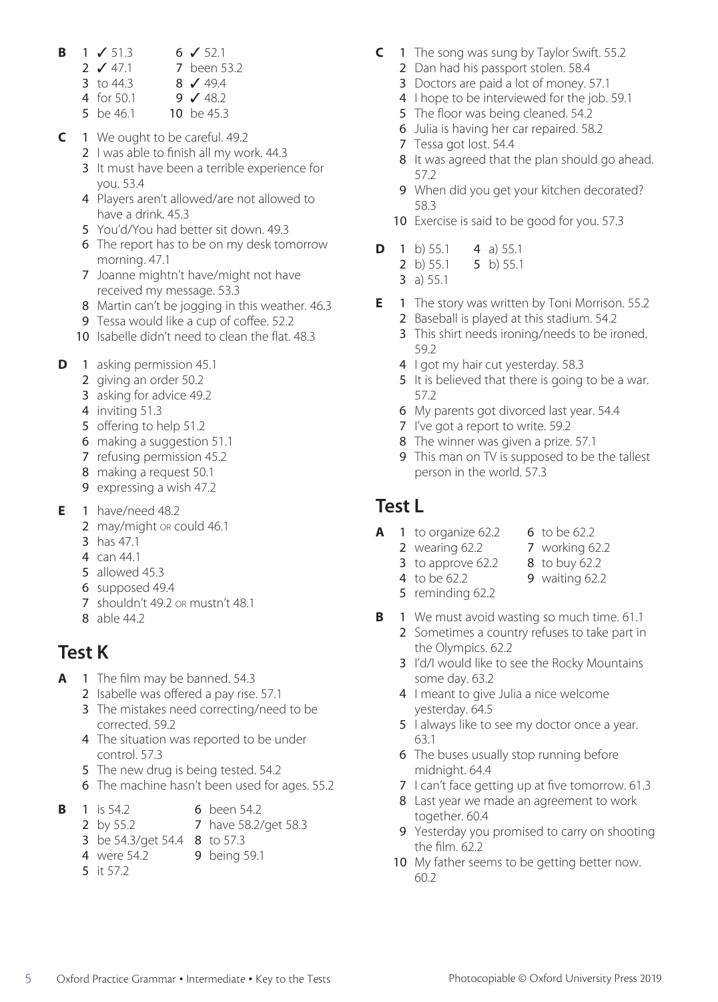- **B**  $1 \times 51.3$  **6**  $\sqrt{52.1}$ <br>**2**  $\sqrt{47.1}$  7 been 5
	- 7 been 53.2<br>8  $\sqrt{49.4}$
	- 3 to  $44.3$ <br>4 for  $50.1$
	- 9  $\sqrt{48.2}$ <br>10 be 45.3
	- 5 be 46.1
- **C** 1 We ought to be careful. 49.2
	- 2 I was able to finish all my work. 44.3
	- 3 It must have been a terrible experience for you. 53.4
	- 4 Players aren't allowed/are not allowed to have a drink. 45.3
	- 5 You'd/You had better sit down. 49.3
	- 6 The report has to be on my desk tomorrow morning. 47.1
	- 7 Joanne mightn't have/might not have received my message. 53.3
	- 8 Martin can't be jogging in this weather. 46.3
	- 9 Tessa would like a cup of coffee. 52.2
	- 10 Isabelle didn't need to clean the flat. 48.3
- **D** 1 asking permission 45.1
	- 2 giving an order 50.2
	- 3 asking for advice 49.2
	- 4 inviting 51.3
	- 5 offering to help 51.2
	- 6 making a suggestion 51.1
	- 7 refusing permission 45.2
	- 8 making a request 50.1
	- 9 expressing a wish 47.2
- **E** 1 have/need 48.2
	- 2 may/might or could 46.1
	- 3 has 47.1
	- 4 can 44.1
	- 5 allowed 45.3
	- 6 supposed 49.4
	- 7 shouldn't 49.2 or mustn't 48.1
	- 8 able 44.2

# **Test K**

- **A** 1 The film may be banned. 54.3
	- 2 Isabelle was offered a pay rise. 57.1
	- 3 The mistakes need correcting/need to be corrected. 59.2
	- 4 The situation was reported to be under control. 57.3
	- 5 The new drug is being tested. 54.2
	- 6 The machine hasn't been used for ages. 55.2
- **B** 1 is 54.2 6 been 54.2<br>2 by 55.2 7 have 58.2/
	- 7 have 58.2/get 58.3
	- 3 be 54.3/get 54.4 8 to 57.3
	- 4 were 54.2 9 being 59.1
	- 5 it 57.2
- **C** 1 The song was sung by Taylor Swift. 55.2
	- 2 Dan had his passport stolen. 58.4
	- 3 Doctors are paid a lot of money. 57.1
	- 4 I hope to be interviewed for the job. 59.1
	- 5 The floor was being cleaned. 54.2
	- 6 Julia is having her car repaired. 58.2
	- 7 Tessa got lost. 54.4
	- 8 It was agreed that the plan should go ahead. 57.2
	- 9 When did you get your kitchen decorated? 58.3
	- 10 Exercise is said to be good for you. 57.3
- **D** 1 b) 55.1 4 a) 55.1<br>2 b) 55.1 5 b) 55.1
	- 5 b)  $55.1$ 
		- 3 a) 55.1
- **E** 1 The story was written by Toni Morrison. 55.2 2 Baseball is played at this stadium. 54.2
	- 3 This shirt needs ironing/needs to be ironed. 59.2
	- 4 I got my hair cut yesterday. 58.3
	- 5 It is believed that there is going to be a war. 57.2
	- 6 My parents got divorced last year. 54.4
	- 7 I've got a report to write. 59.2
	- 8 The winner was given a prize. 57.1
	- 9 This man on TV is supposed to be the tallest person in the world. 57.3

#### **Test L**

- **A** 1 to organize 62.2 6 to be 62.2
	- 2 wearing 62.2 <br> **2** to approve 62.2 <br> **8** to buy 62.2
- - 3 to approve  $62.2$
	- 4 to be 62.2 9 waiting 62.2
	- 5 reminding 62.2
- **B** 1 We must avoid wasting so much time. 61.1
	- 2 Sometimes a country refuses to take part in the Olympics. 62.2
	- 3 I'd/I would like to see the Rocky Mountains some day. 63.2
	- 4 I meant to give Julia a nice welcome yesterday. 64.5
	- 5 I always like to see my doctor once a year. 63.1
	- 6 The buses usually stop running before midnight. 64.4
	- 7 I can't face getting up at five tomorrow. 61.3
	- 8 Last year we made an agreement to work together. 60.4
	- 9 Yesterday you promised to carry on shooting the film. 62.2
	- 10 My father seems to be getting better now. 60.2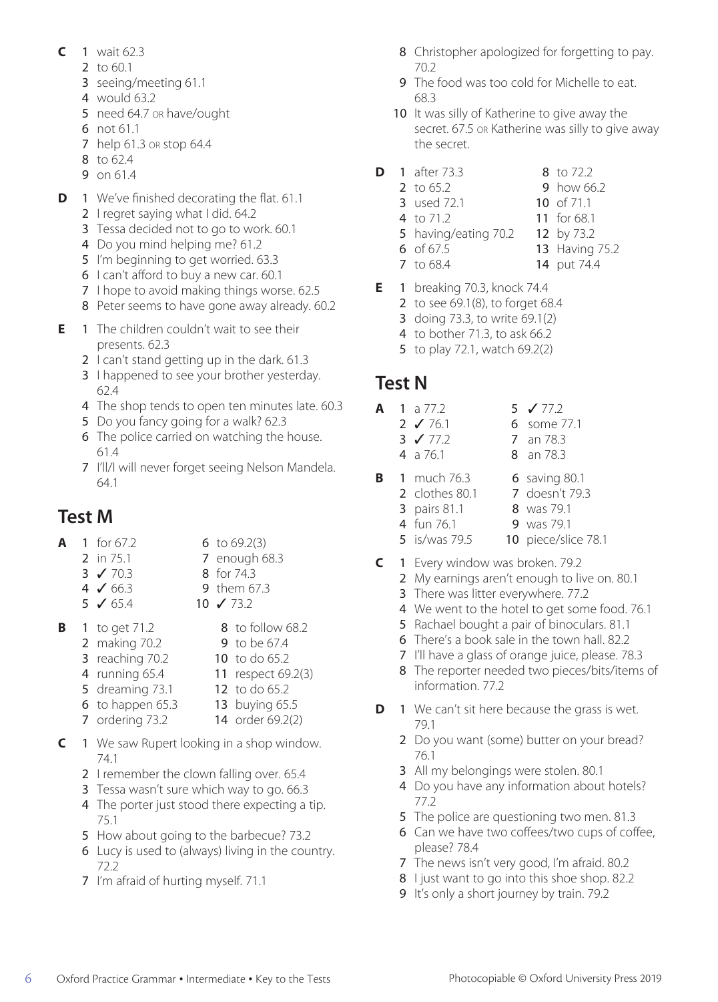- **C** 1 wait 62.3
	- 2 to 60.1
	- 3 seeing/meeting 61.1
	- 4 would 63.2
	- 5 need 64.7 or have/ought
	- 6 not 61.1
	- 7 help 61.3 or stop 64.4
	- 8 to 62.4
	- 9 on 61.4
- **D** 1 We've finished decorating the flat. 61.1
	- 2 I regret saying what I did. 64.2
	- 3 Tessa decided not to go to work. 60.1
	- 4 Do you mind helping me? 61.2
	- 5 I'm beginning to get worried. 63.3
	- 6 I can't afford to buy a new car. 60.1
	- 7 I hope to avoid making things worse. 62.5
	- 8 Peter seems to have gone away already. 60.2
- **E** 1 The children couldn't wait to see their presents. 62.3
	- 2 I can't stand getting up in the dark. 61.3
	- 3 I happened to see your brother yesterday. 62.4
	- 4 The shop tends to open ten minutes late. 60.3
	- 5 Do you fancy going for a walk? 62.3
	- 6 The police carried on watching the house. 61.4
	- 7 I'll/I will never forget seeing Nelson Mandela. 64.1

# **Test M**

- **A** 1 for 67.2 6 to 69.2(3) 2 in 75.1 7 enough 68.3<br>3 √ 70.3 8 for 74.3 3 **√** 70.3 8 for 74.3<br>4 **√** 66.3 9 them 67 9 them 67.3 5 ✓ 65.4 10 ✓ 73.2
- **B** 1 to get 71.2 8 to follow 68.2 **2** making 70.2 **9** to be 67.4 **3** reaching 70.2 **10** to do 65.2 4 running 65.4 11 respect 69.2(3) 5 dreaming 73.1 12 to do 65.2 **6** to happen 65.3 **13** buying 65.5 7 ordering 73.2 14 order 69.2(2)
- **C** 1 We saw Rupert looking in a shop window.
	- 74.1 2 I remember the clown falling over, 65.4
	- 3 Tessa wasn't sure which way to go. 66.3
	- 4 The porter just stood there expecting a tip. 75.1
	- 5 How about going to the barbecue? 73.2
	- 6 Lucy is used to (always) living in the country. 72.2
	- 7 I'm afraid of hurting myself. 71.1
- 8 Christopher apologized for forgetting to pay. 70.2
- 9 The food was too cold for Michelle to eat. 68.3
- 10 It was silly of Katherine to give away the secret. 67.5 or Katherine was silly to give away the secret.
- **D** 1 after 73.3 8 to 72.2
	- 2 to 65.2 9 how 66.2
	- **3** used 72.1 **10** of 71.1<br>**4** to 71.2 **11** for 68.1 4 to  $71.2$ 
		-
	- 5 having/eating 70.2 12 by 73.2
		-
	- **6** of 67.5 **13** Having 75.2<br>**7** to 68.4 **14** put 74.4 14 put 74.4
- **E** 1 breaking 70.3, knock 74.4
	- 2 to see 69.1(8), to forget 68.4
	- 3 doing 73.3, to write 69.1(2)
	- 4 to bother 71.3, to ask 66.2
	- 5 to play 72.1, watch 69.2(2)

### **Test N**

- **A** 1 a 77.2 5 **√** 77.2<br>2 **√** 76.1 6 some 7
	- 6 some 77.1
	- 3 **√** 77.2 7 an 78.3 4 a 76.1 8 an 78.3
		-
- **B** 1 much 76.3 6 saving 80.1 2 clothes 80.1 <br>7 doesn't 79.3
	- **3** pairs 81.1 **8** was 79.1
	- 4 fun 76.1 9 was 79.1
	- 5 is/was 79.5 10 piece/slice 78.1
- **C** 1 Every window was broken. 79.2
	- 2 My earnings aren't enough to live on. 80.1
	- 3 There was litter everywhere. 77.2
	- 4 We went to the hotel to get some food. 76.1
	- 5 Rachael bought a pair of binoculars. 81.1
	- 6 There's a book sale in the town hall. 82.2
	- 7 I'll have a glass of orange juice, please. 78.3
	- 8 The reporter needed two pieces/bits/items of information. 77.2
- **D** 1 We can't sit here because the grass is wet. 79.1
	- 2 Do you want (some) butter on your bread? 76.1
	- 3 All my belongings were stolen. 80.1
	- 4 Do you have any information about hotels? 77.2
	- 5 The police are questioning two men. 81.3
	- 6 Can we have two coffees/two cups of coffee, please? 78.4
	- 7 The news isn't very good, I'm afraid. 80.2
	- 8 I just want to go into this shoe shop. 82.2
	- 9 It's only a short journey by train. 79.2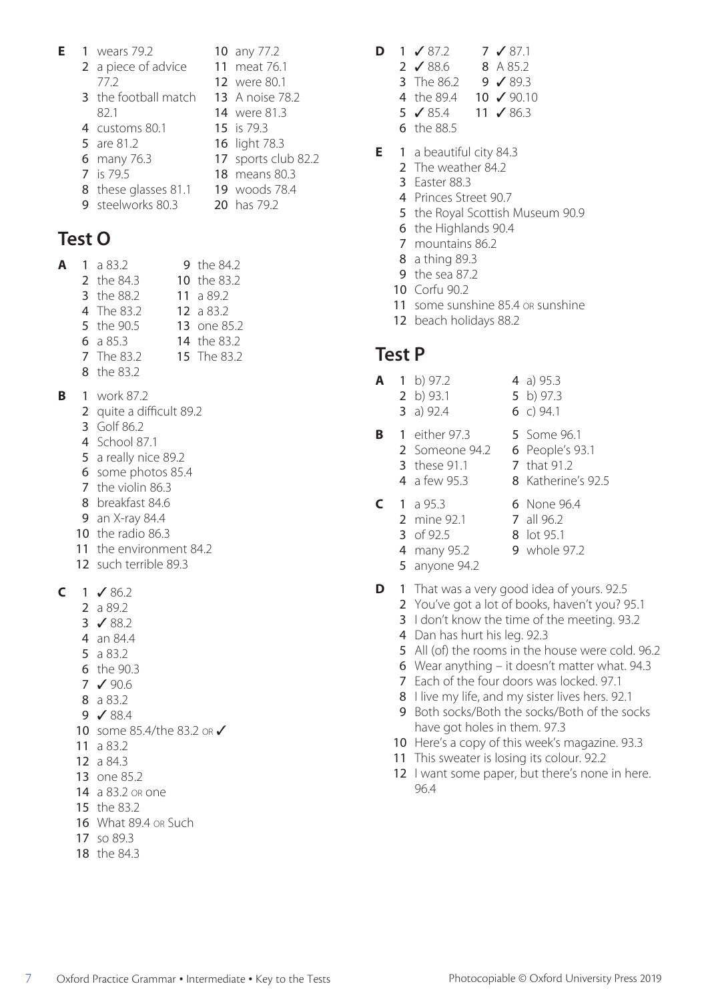|      |                                                                                                                                                                             | <b>10</b> any 77.2     |
|------|-----------------------------------------------------------------------------------------------------------------------------------------------------------------------------|------------------------|
|      |                                                                                                                                                                             | 11 meat 76.1           |
| 77.2 |                                                                                                                                                                             | <b>12</b> were 80.1    |
|      |                                                                                                                                                                             | <b>13</b> A noise 78.2 |
| 82.1 |                                                                                                                                                                             | <b>14</b> were 81.3    |
|      |                                                                                                                                                                             | 15 is 79.3             |
|      |                                                                                                                                                                             | 16 light 78.3          |
|      |                                                                                                                                                                             | 17 sports club 82.2    |
|      |                                                                                                                                                                             | 18 means 80.3          |
|      |                                                                                                                                                                             | 19 woods 78.4          |
|      |                                                                                                                                                                             | 20 has 79.2            |
|      | 1 wears 79.2<br>2 a piece of advice<br><b>3</b> the football match<br>4 customs 80.1<br>5 are 81.2<br>6 many 76.3<br>7 is 79.5<br>8 these glasses 81.1<br>9 steelworks 80.3 |                        |

#### **Test O**

| A | 1 a $83.2$ | 9 the 84.2         |
|---|------------|--------------------|
|   | 2 the 84.3 | 10 the 83.2        |
|   | 3 the 88.2 | 11 a $89.2$        |
|   | 4 The 83.2 | 12 a $83.2$        |
|   | 5 the 90.5 | 13 one 85.2        |
|   | 6 a $85.3$ | <b>14</b> the 83.2 |

- The 83.2 15 The 83.2
- the 83.2
- **B** 1 work 87.2
	- quite a difficult 89.2
	- Golf 86.2
	- School 87.1
	- a really nice 89.2
	- some photos 85.4
	- the violin 86.3
	- breakfast 84.6
	- an X-ray 84.4
	- the radio 86.3
	- the environment 84.2
	- such terrible 89.3

 $C = 1$  / 86.2

- a 89.2
- ✓ 88.2
- an 84.4
- a 83.2
- the 90.3
- ✓ 90.6
- a 83.2
- ✓ 88.4
- 10 some 85.4/the 83.2 or √
- a 83.2
- a 84.3
- one 85.2
- a 83.2 or one
- the 83.2
- What 89.4 or Such
- so 89.3
- the 84.3
- **D** 1 ✓ 87.2 7 ✓ 87.1
	- 2 **✓** 88.6 8 A 85.2<br>3 The 86.2 9 **✓** 89.3  $9 \times 89.3$
	-
	- 4 the 89.4 10  $\checkmark$  90.10<br>5  $\checkmark$  85.4 11  $\checkmark$  86.3  $11 \times 86.3$
	- the 88.5
- **E** 1 a beautiful city 84.3
	- 2 The weather 84.2
	- Easter 88.3
	- Princes Street 90.7
	- 5 the Royal Scottish Museum 90.9
	- the Highlands 90.4
	- mountains 86.2
	- a thing 89.3
	- the sea 87.2
	- Corfu 90.2
	- 11 some sunshine 85.4 or sunshine
	- beach holidays 88.2

#### **Test P**

- **A** 1 b) 97.2 <br>**4** a) 95.3<br>**2** b) 93.1 <br>**5** b) 97.3
	- 5 b)  $97.3$
	- a) 92.4 6 c) 94.1
- **B** 1 either 97.3 5 Some 96.1 2 Someone 94.2 6 People's 93.1 these 91.1 **7** that 91.2
	- a few 95.3 8 Katherine's 92.5
- **C** 1 a 95.3 6 None 96.4<br>**2** mine 92.1 7 all 96.2
	-
	- mine 92.1
		- 3 of 92.5 8 lot 95.1
		- 4 many 95.2 9 whole 97.2
		- anyone 94.2
- **D** 1 That was a very good idea of yours. 92.5
	- You've got a lot of books, haven't you? 95.1
	- 3 I don't know the time of the meeting. 93.2
	- Dan has hurt his leg. 92.3
	- All (of) the rooms in the house were cold. 96.2
	- Wear anything it doesn't matter what. 94.3
	- Each of the four doors was locked. 97.1
	- 8 I live my life, and my sister lives hers. 92.1
	- Both socks/Both the socks/Both of the socks have got holes in them. 97.3
	- 10 Here's a copy of this week's magazine. 93.3
	- 11 This sweater is losing its colour. 92.2
	- 12 I want some paper, but there's none in here. 96.4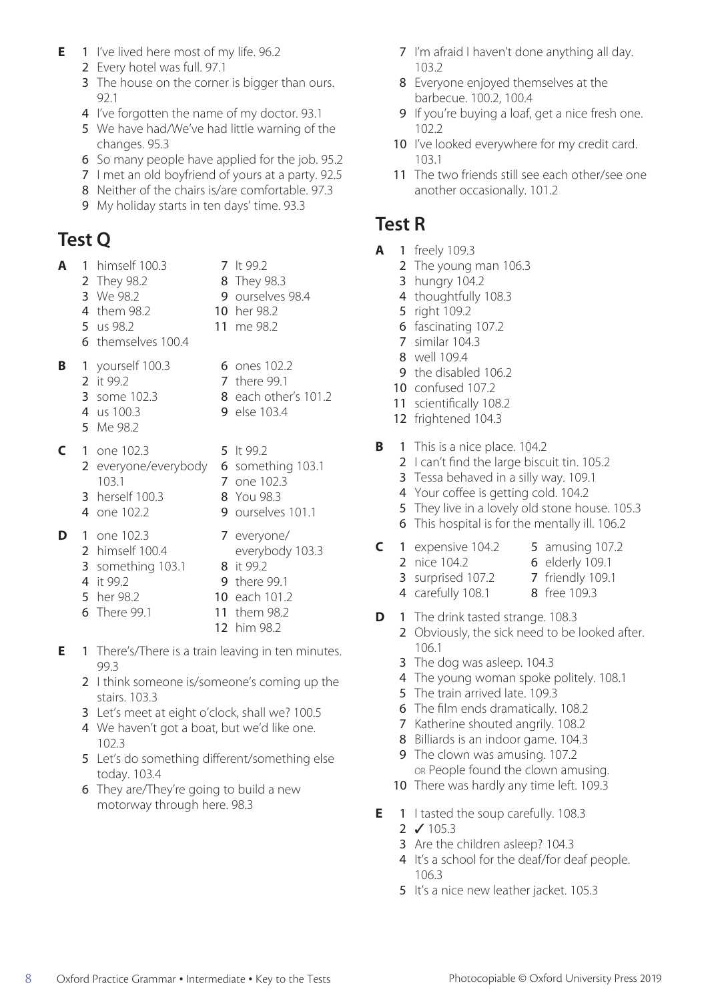- **E** 1 I've lived here most of my life. 96.2
	- 2 Every hotel was full. 97.1
	- 3 The house on the corner is bigger than ours. 92.1
	- 4 I've forgotten the name of my doctor. 93.1
	- 5 We have had/We've had little warning of the changes. 95.3
	- 6 So many people have applied for the job. 95.2
	- 7 I met an old boyfriend of yours at a party. 92.5
	- 8 Neither of the chairs is/are comfortable. 97.3
	- 9 My holiday starts in ten days' time. 93.3

# **Test Q**

|   |   | 1 himself 100.3                                                                | 7 lt 99.2                                                                          |
|---|---|--------------------------------------------------------------------------------|------------------------------------------------------------------------------------|
|   |   | 2 They 98.2                                                                    | 8 They 98.3                                                                        |
|   |   | 3 We 98.2                                                                      | 9 ourselves 98.4                                                                   |
|   |   | 4 them 98.2                                                                    | <b>10</b> her 98.2                                                                 |
|   |   | 5 us 98.2                                                                      | 11 me 98.2                                                                         |
|   |   | 6 themselves 100.4                                                             |                                                                                    |
| В |   | 1 yourself 100.3<br>2 it 99.2<br>3 some 102.3<br>4 us 100.3<br>5 Me 98.2       | 6 ones 102.2<br><b>7</b> there 99.1<br>8 each other's 101.2<br><b>9</b> else 103.4 |
| C |   | 1 one 102.3<br>2 everyone/everybody<br>103.1<br>3 herself 100.3<br>4 one 102.2 | 5 lt 99.2<br>6 something 103.1<br>7 one 102.3<br>8 You 98.3<br>9 ourselves 101.1   |
| D | 1 | one 102.3                                                                      | 7 everyone/                                                                        |

- 2 himself 100.4 everybody 103.3
- **3** something 103.1 **8** it 99.2
- 
- 4 it 99.2 9 there 99.1
- 5 her 98.2 10 each 101.2
- 6 There 99.1 11 them 98.2
	- 12 him 98.2
- **E** 1 There's/There is a train leaving in ten minutes. 99.3
	- 2 I think someone is/someone's coming up the stairs. 103.3
	- 3 Let's meet at eight o'clock, shall we? 100.5
	- 4 We haven't got a boat, but we'd like one. 102.3
	- 5 Let's do something different/something else today. 103.4
	- 6 They are/They're going to build a new motorway through here. 98.3
- 7 I'm afraid I haven't done anything all day. 103.2
- 8 Everyone enjoyed themselves at the barbecue. 100.2, 100.4
- 9 If you're buying a loaf, get a nice fresh one. 102.2
- 10 I've looked everywhere for my credit card. 103.1
- 11 The two friends still see each other/see one another occasionally. 101.2

# **Test R**

- **A** 1 freely 109.3
	- 2 The young man 106.3
	- 3 hungry 104.2
	- 4 thoughtfully 108.3
	- 5 right 109.2
	- 6 fascinating 107.2
	- 7 similar 104.3
	- 8 well 109.4
	- 9 the disabled 106.2
	- 10 confused 107.2
	- 11 scientifically 108.2
	- 12 frightened 104.3
- **B** 1 This is a nice place. 104.2
	- 2 I can't find the large biscuit tin. 105.2
	- 3 Tessa behaved in a silly way. 109.1
	- 4 Your coffee is getting cold. 104.2
	- 5 They live in a lovely old stone house. 105.3
	- 6 This hospital is for the mentally ill. 106.2
- **C** 1 expensive 104.2 **5** amusing 107.2 2 nice 104.2 6 elderly 109.1
	-
	- **3** surprised 107.2 **7** friendly 109.1 4 carefully 108.1 8 free 109.3
- **D** 1 The drink tasted strange. 108.3
	- 2 Obviously, the sick need to be looked after. 106.1
	- 3 The dog was asleep. 104.3
	- 4 The young woman spoke politely. 108.1
	- 5 The train arrived late. 109.3
	- 6 The film ends dramatically. 108.2
	- 7 Katherine shouted angrily. 108.2
	- 8 Billiards is an indoor game. 104.3
	- 9 The clown was amusing. 107.2 or People found the clown amusing.
	- 10 There was hardly any time left. 109.3
- **E** 1 I tasted the soup carefully. 108.3
	- $2 \times 105.3$
	- 3 Are the children asleep? 104.3
	- 4 It's a school for the deaf/for deaf people. 106.3
	- 5 It's a nice new leather jacket. 105.3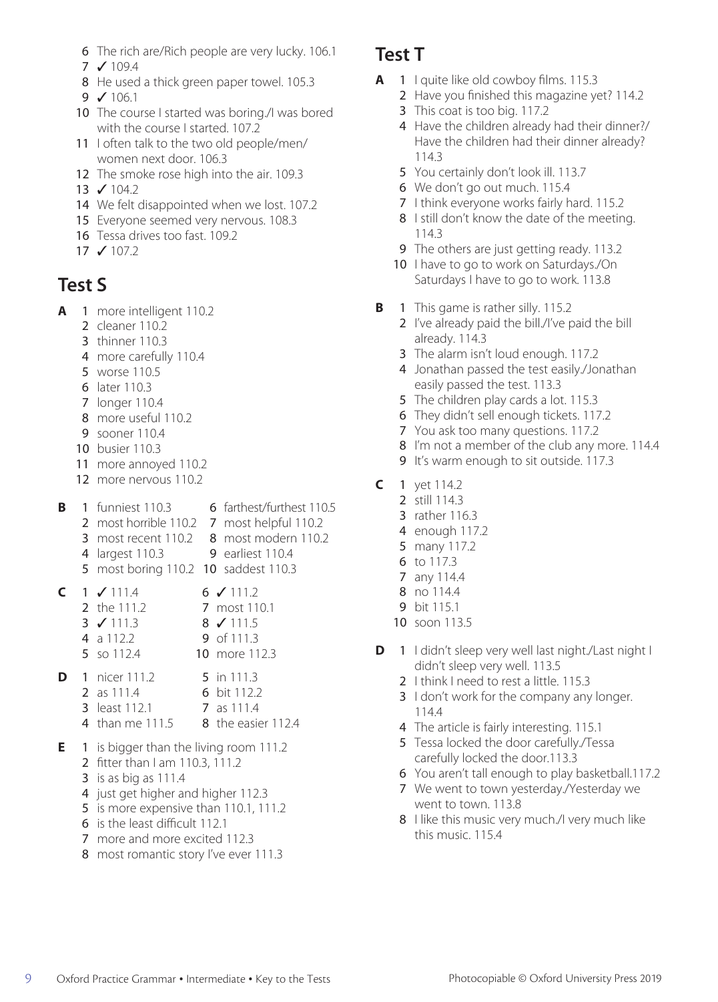- 6 The rich are/Rich people are very lucky. 106.1
- 7 ✓ 109.4
- 8 He used a thick green paper towel. 105.3
- $9 \times 106.1$
- 10 The course I started was boring./I was bored with the course I started. 107.2
- 11 I often talk to the two old people/men/ women next door. 106.3
- 12 The smoke rose high into the air. 109.3
- 13 ✓ 104.2
- 14 We felt disappointed when we lost. 107.2
- 15 Everyone seemed very nervous. 108.3
- 16 Tessa drives too fast. 109.2
- 17  $J 1072$

### **Test S**

- **A** 1 more intelligent 110.2
	- 2 cleaner 110.2
	- 3 thinner 110.3
	- 4 more carefully 110.4
	- 5 worse 110.5
	- 6 later 110.3
	- 7 longer 110.4
	- 8 more useful 110.2
	- 9 sooner 110.4
	- 10 busier 110.3
	- 11 more annoyed 110.2
	- 12 more nervous 110.2

| B | 1 funniest 110.3                           | 6 farthest/furthest 110.5 |
|---|--------------------------------------------|---------------------------|
|   | 2 most horrible 110.2 7 most helpful 110.2 |                           |
|   | 3 most recent 110.2                        | 8 most modern 110.2       |
|   | 4 largest 110.3                            | <b>9</b> earliest 110.4   |
|   | 5 most boring 110.2 10 saddest 110.3       |                           |

- **C**  $1 \checkmark$  111.4 6  $\checkmark$  111.2 2 the 111.2 7 most 110.1 3 ✓ 111.3 8 ✓ 111.5 **4** a 112.2 **9** of 111.3<br>**5** so 112.4 **10** more 11 10 more 112.3
- **D** 1 nicer 111.2 5 in 111.3
	- 2 as 111.4 6 bit 112.2
		- **3** least 112.1 **7** as 111.4
	- 4 than me 111.5 8 the easier 112.4
- **E** 1 is bigger than the living room 111.2 2 fitter than I am 110.3, 111.2
	- 3 is as big as 111.4
	- 4 just get higher and higher 112.3
	- 5 is more expensive than 110.1, 111.2
	- 6 is the least difficult 112.1
	- 7 more and more excited 112.3
	- 8 most romantic story I've ever 111.3

#### **Test T**

- **A** 1 I quite like old cowboy films. 115.3
	- 2 Have you finished this magazine yet? 114.2
		- 3 This coat is too big. 117.2
		- 4 Have the children already had their dinner?/ Have the children had their dinner already? 114.3
		- 5 You certainly don't look ill. 113.7
		- 6 We don't go out much. 115.4
		- 7 I think everyone works fairly hard. 115.2
		- 8 I still don't know the date of the meeting. 114.3
	- 9 The others are just getting ready. 113.2
	- 10 I have to go to work on Saturdays./On Saturdays I have to go to work. 113.8
- **B** 1 This game is rather silly. 115.2
	- 2 I've already paid the bill./I've paid the bill already. 114.3
	- 3 The alarm isn't loud enough. 117.2
	- 4 Jonathan passed the test easily./Jonathan easily passed the test. 113.3
	- 5 The children play cards a lot. 115.3
	- 6 They didn't sell enough tickets. 117.2
	- 7 You ask too many questions. 117.2
	- 8 I'm not a member of the club any more. 114.4
	- 9 It's warm enough to sit outside. 117.3
- **C** 1 yet 114.2
	- 2 still 114.3
	- 3 rather 116.3
	- 4 enough 117.2
	- 5 many 117.2
	- 6 to 117.3
	- 7 any 114.4
	- 8 no 114.4
	- 9 bit 115.1
	- 10 soon 113.5
- **D** 1 I didn't sleep very well last night./Last night I didn't sleep very well. 113.5
	- 2 I think I need to rest a little. 115.3
	- 3 I don't work for the company any longer. 114.4
	- 4 The article is fairly interesting. 115.1
	- 5 Tessa locked the door carefully./Tessa carefully locked the door.113.3
	- 6 You aren't tall enough to play basketball.117.2
	- 7 We went to town yesterday./Yesterday we went to town. 113.8
	- 8 I like this music very much./I very much like this music. 115.4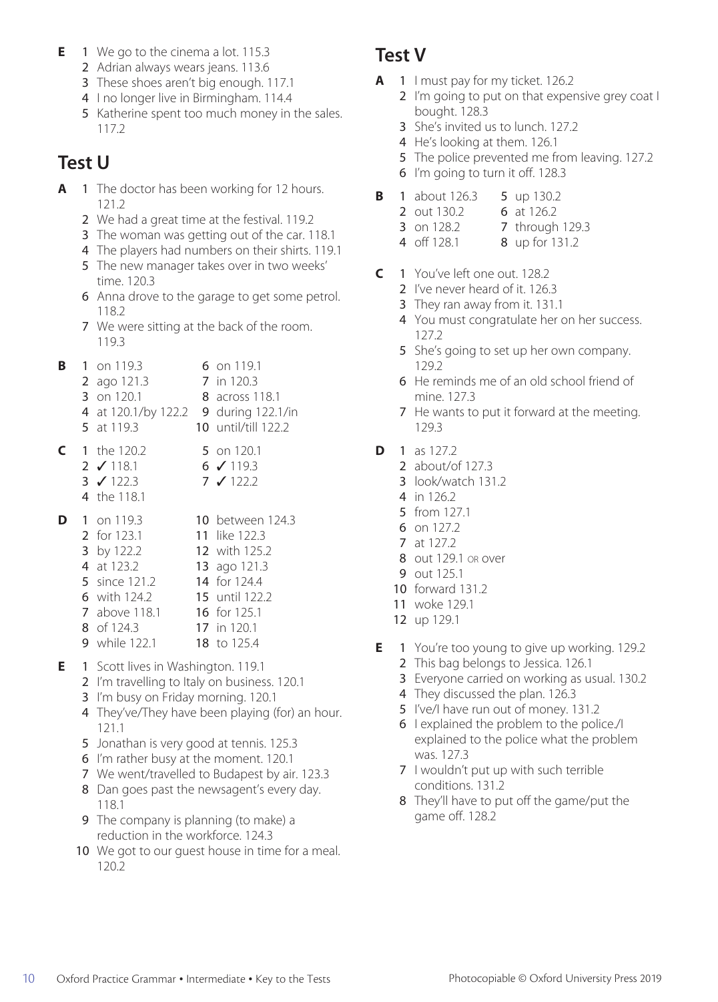- **E** 1 We go to the cinema a lot. 115.3
	- 2 Adrian always wears jeans. 113.6
	- 3 These shoes aren't big enough. 117.1
	- 4 I no longer live in Birmingham. 114.4
	- 5 Katherine spent too much money in the sales. 117.2

# **Test U**

- **A** 1 The doctor has been working for 12 hours. 121.2
	- 2 We had a great time at the festival. 119.2
	- 3 The woman was getting out of the car. 118.1
	- 4 The players had numbers on their shirts. 119.1
	- 5 The new manager takes over in two weeks' time. 120.3
	- 6 Anna drove to the garage to get some petrol. 118.2
	- 7 We were sitting at the back of the room. 119.3
- **B** 1 on 119.3 6 on 119.1 2 ago 121.3 7 in 120.3 **3** on 120.1 **8** across 118.1 4 at 120.1/by 122.2 9 during 122.1/in 5 at 119.3 10 until/till 122.2
- **C** 1 the 120.2 5 on 120.1 2 **√** 118.1 6 **√** 119.3 3 ✓ 122.3 7 ✓ 122.2
	- 4 the 118.1

|  | 1 on 119.3           | <b>10</b> between 124.3 |
|--|----------------------|-------------------------|
|  | 2 for 123.1          | 11 like 122.3           |
|  | 3 by 122.2           | 12 with 125.2           |
|  | 4 at 123.2           | 13 ago 121.3            |
|  | 5 since 121.2        | 14 for 124.4            |
|  | 6 with 124.2         | 15 until 122.2          |
|  | 7 above 118.1        | 16 for 125.1            |
|  | 8 of 124.3           | 17 in 120.1             |
|  | <b>9</b> while 122.1 | 18 to 125.4             |
|  |                      |                         |

- **E** 1 Scott lives in Washington. 119.1
	- 2 I'm travelling to Italy on business. 120.1
	- 3 I'm busy on Friday morning. 120.1
	- 4 They've/They have been playing (for) an hour. 121.1
	- 5 Jonathan is very good at tennis. 125.3
	- 6 I'm rather busy at the moment. 120.1
	- 7 We went/travelled to Budapest by air. 123.3
	- 8 Dan goes past the newsagent's every day. 118.1
	- 9 The company is planning (to make) a reduction in the workforce. 124.3
	- 10 We got to our guest house in time for a meal. 120.2

### **Test V**

- **A** 1 I must pay for my ticket. 126.2
	- 2 I'm going to put on that expensive grey coat I bought. 128.3
		- 3 She's invited us to lunch. 127.2
		- 4 He's looking at them. 126.1
		- 5 The police prevented me from leaving. 127.2
	- 6 I'm going to turn it off. 128.3
- **B** 1 about 126.3 **5** up 130.2
	- 2 out 130.2 6 at 126.2
	- **3** on 128.2 **7** through 129.3
	- 4 off 128.1 8 up for 131.2
- **C** 1 You've left one out. 128.2
	- 2 I've never heard of it. 126.3
	- 3 They ran away from it. 131.1
	- 4 You must congratulate her on her success. 127.2
	- 5 She's going to set up her own company. 129.2
	- 6 He reminds me of an old school friend of mine. 127.3
	- 7 He wants to put it forward at the meeting. 129.3
- **D** 1 as 127.2
	- 2 about/of 127.3
	- 3 look/watch 131.2
	- 4 in 126.2
	- 5 from 127.1
	- 6 on 127.2
	- 7 at 127.2
	- 8 out 129.1 or over
	- 9 out 125.1
	- 10 forward 131.2
	- 11 woke 129.1
	- 12 up 129.1
- **E** 1 You're too young to give up working. 129.2
	- 2 This bag belongs to Jessica. 126.1
		- 3 Everyone carried on working as usual. 130.2
		- 4 They discussed the plan. 126.3
		- 5 I've/I have run out of money. 131.2
		- 6 I explained the problem to the police./I explained to the police what the problem was. 127.3
		- 7 I wouldn't put up with such terrible conditions. 131.2
		- 8 They'll have to put off the game/put the game off. 128.2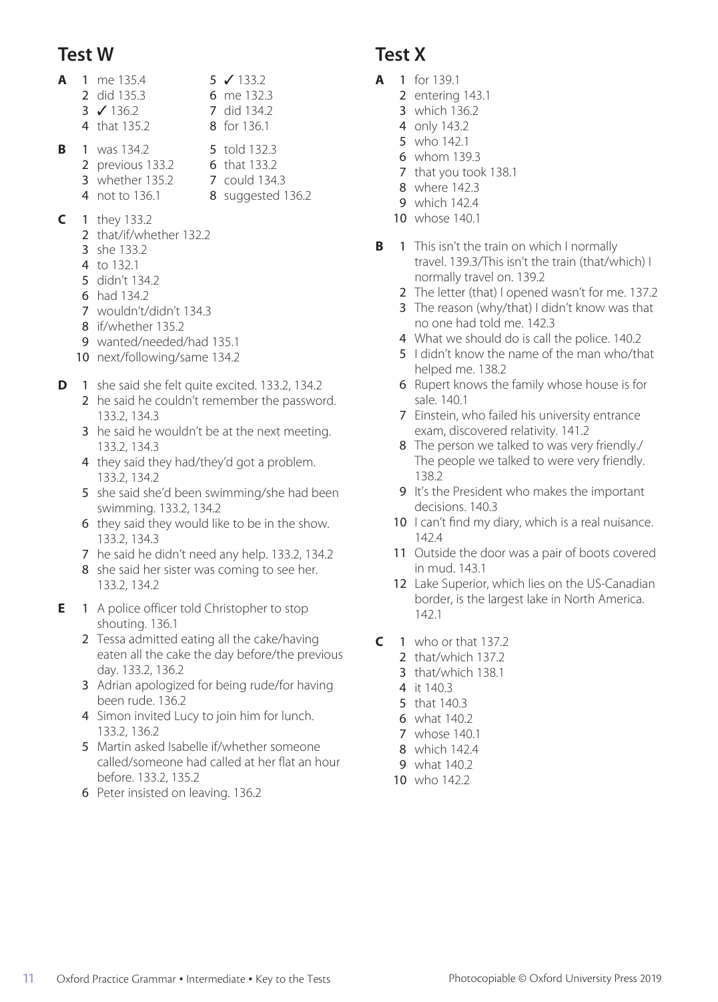#### **Test W**

- **A** 1 me 135.4 5 **√** 133.2 2 did 135.3 6 me 132.3 3 ✓ 136.2 7 did 134.2 4 that 135.2 8 for 136.1
- **B** 1 was 134.2 5 told 132.3 2 previous 133.2 6 that 133.2
	-
	- **3** whether 135.2 **7** could 134.3<br>**4** not to 136.1 **8** suggested 1 8 suggested 136.2
- **C** 1 they 133.2
	- 2 that/if/whether 132.2
	- 3 she 133.2
	- 4 to 132.1
	- 5 didn't 134.2
	- 6 had 134.2
	- 7 wouldn't/didn't 134.3
	- 8 if/whether 135.2
	- 9 wanted/needed/had 135.1
	- 10 next/following/same 134.2
- **D** 1 she said she felt quite excited. 133.2, 134.2
	- 2 he said he couldn't remember the password. 133.2, 134.3
	- 3 he said he wouldn't be at the next meeting. 133.2, 134.3
	- 4 they said they had/they'd got a problem. 133.2, 134.2
	- 5 she said she'd been swimming/she had been swimming. 133.2, 134.2
	- 6 they said they would like to be in the show. 133.2, 134.3
	- 7 he said he didn't need any help. 133.2, 134.2
	- 8 she said her sister was coming to see her. 133.2, 134.2
- **E** 1 A police officer told Christopher to stop shouting. 136.1
	- 2 Tessa admitted eating all the cake/having eaten all the cake the day before/the previous day. 133.2, 136.2
	- 3 Adrian apologized for being rude/for having been rude. 136.2
	- 4 Simon invited Lucy to join him for lunch. 133.2, 136.2
	- 5 Martin asked Isabelle if/whether someone called/someone had called at her flat an hour before. 133.2, 135.2
	- 6 Peter insisted on leaving. 136.2

#### **Test X**

- **A** 1 for 139.1
	- 2 entering 143.1
	- 3 which 136.2
	- 4 only 143.2 5 who 142.1
	- 6 whom 139.3
	- 7 that you took 138.1
	- 8 where 142.3
	- 9 which 142.4
	- 10 whose 140.1
- **B** 1 This isn't the train on which I normally travel. 139.3/This isn't the train (that/which) I normally travel on. 139.2
	- 2 The letter (that) I opened wasn't for me. 137.2
	- 3 The reason (why/that) I didn't know was that no one had told me. 142.3
	- 4 What we should do is call the police. 140.2
	- 5 I didn't know the name of the man who/that helped me. 138.2
	- 6 Rupert knows the family whose house is for sale. 140.1
	- 7 Einstein, who failed his university entrance exam, discovered relativity. 141.2
	- 8 The person we talked to was very friendly./ The people we talked to were very friendly. 138.2
	- 9 It's the President who makes the important decisions. 140.3
	- 10 I can't find my diary, which is a real nuisance. 142.4
	- 11 Outside the door was a pair of boots covered in mud. 143.1
	- 12 Lake Superior, which lies on the US-Canadian border, is the largest lake in North America. 142.1
- $C = 1$  who or that 137.2
	- 2 that/which 137.2
	- 3 that/which 138.1
	- 4 it 140.3
	- 5 that 140.3
	- 6 what 140.2
	- 7 whose 140.1
	- 8 which 142.4
	- 9 what 140.2
	- 10 who 142.2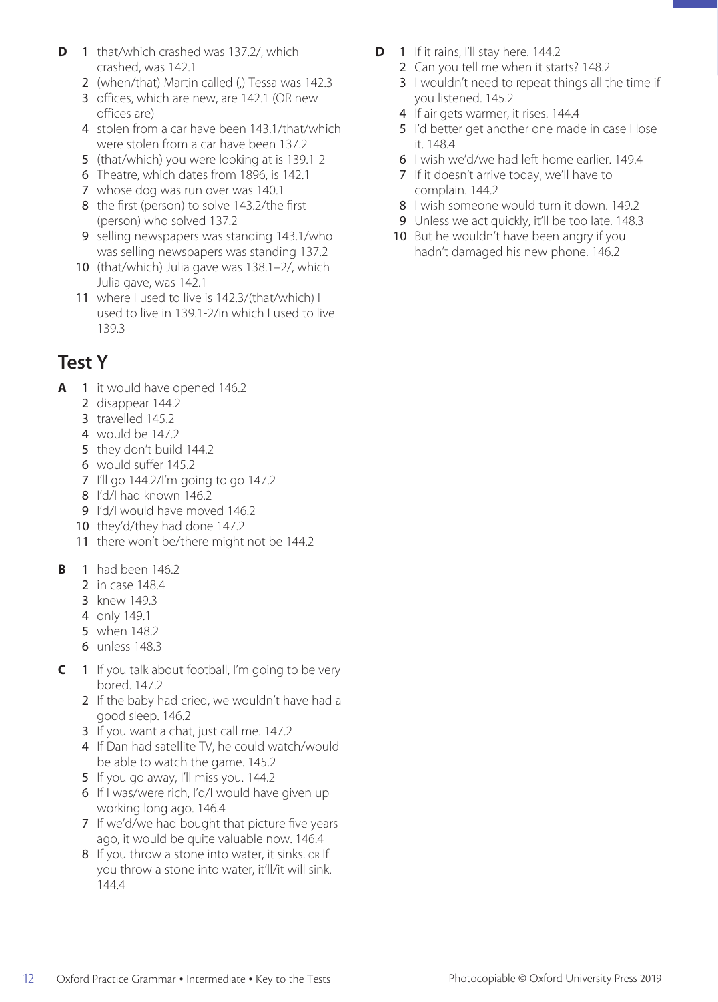- **D** 1 that/which crashed was 137.2/, which crashed, was 142.1
	- 2 (when/that) Martin called (.) Tessa was 142.3
	- 3 offices, which are new, are 142.1 (OR new offices are)
	- 4 stolen from a car have been 143.1/that/which were stolen from a car have been 137.2
	- 5 (that/which) you were looking at is 139.1-2
	- 6 Theatre, which dates from 1896, is 142.1
	- 7 whose dog was run over was 140.1
	- 8 the first (person) to solve 143.2/the first (person) who solved 137.2
	- 9 selling newspapers was standing 143.1/who was selling newspapers was standing 137.2
	- 10 (that/which) Julia gave was 138.1–2/, which Julia gave, was 142.1
	- 11 where I used to live is 142.3/(that/which) I used to live in 139.1-2/in which I used to live 139.3

### **Test Y**

- **A** 1 it would have opened 146.2
	- 2 disappear 144.2
	- 3 travelled 145.2
	- 4 would be 147.2
	- 5 they don't build 144.2
	- 6 would suffer 145.2
	- 7 I'll go 144.2/I'm going to go 147.2
	- 8 I'd/I had known 146.2
	- 9 I'd/I would have moved 146.2
	- 10 they'd/they had done 147.2
	- 11 there won't be/there might not be 144.2
- **B** 1 had been 146.2
	- 2 in case 148.4
	- 3 knew 149.3
	- 4 only 149.1
	- 5 when 148.2
	- 6 unless 148.3
- **C** 1 If you talk about football, I'm going to be very bored. 147.2
	- 2 If the baby had cried, we wouldn't have had a good sleep. 146.2
	- 3 If you want a chat, just call me. 147.2
	- 4 If Dan had satellite TV, he could watch/would be able to watch the game. 145.2
	- 5 If you go away, I'll miss you. 144.2
	- 6 If I was/were rich, I'd/I would have given up working long ago. 146.4
	- 7 If we'd/we had bought that picture five years ago, it would be quite valuable now. 146.4
	- 8 If you throw a stone into water, it sinks. on If you throw a stone into water, it'll/it will sink. 144.4
- **D** 1 If it rains, I'll stay here. 144.2
	- 2 Can you tell me when it starts? 148.2
	- 3 I wouldn't need to repeat things all the time if you listened. 145.2
	- 4 If air gets warmer, it rises. 144.4
	- 5 I'd better get another one made in case I lose it. 148.4
	- 6 I wish we'd/we had left home earlier. 149.4
	- 7 If it doesn't arrive today, we'll have to complain. 144.2
	- 8 I wish someone would turn it down. 149.2
	- 9 Unless we act quickly, it'll be too late. 148.3
	- 10 But he wouldn't have been angry if you hadn't damaged his new phone. 146.2